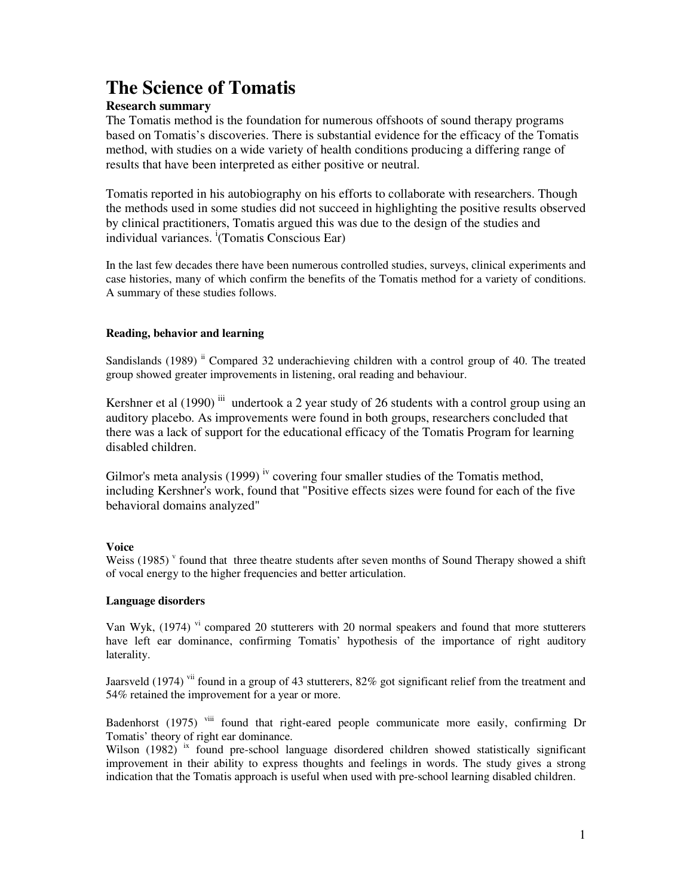# **The Science of Tomatis**

# **Research summary**

The Tomatis method is the foundation for numerous offshoots of sound therapy programs based on Tomatis's discoveries. There is substantial evidence for the efficacy of the Tomatis method, with studies on a wide variety of health conditions producing a differing range of results that have been interpreted as either positive or neutral.

Tomatis reported in his autobiography on his efforts to collaborate with researchers. Though the methods used in some studies did not succeed in highlighting the positive results observed by clinical practitioners, Tomatis argued this was due to the design of the studies and individual variances. <sup>i</sup>(Tomatis Conscious Ear)

In the last few decades there have been numerous controlled studies, surveys, clinical experiments and case histories, many of which confirm the benefits of the Tomatis method for a variety of conditions. A summary of these studies follows.

# **Reading, behavior and learning**

Sandislands (1989) <sup>ii</sup> Compared 32 underachieving children with a control group of 40. The treated group showed greater improvements in listening, oral reading and behaviour.

Kershner et al  $(1990)$ <sup>iii</sup> undertook a 2 year study of 26 students with a control group using an auditory placebo. As improvements were found in both groups, researchers concluded that there was a lack of support for the educational efficacy of the Tomatis Program for learning disabled children.

Gilmor's meta analysis  $(1999)$  <sup>iv</sup> covering four smaller studies of the Tomatis method, including Kershner's work, found that "Positive effects sizes were found for each of the five behavioral domains analyzed"

# **Voice**

Weiss (1985)<sup>v</sup> found that three theatre students after seven months of Sound Therapy showed a shift of vocal energy to the higher frequencies and better articulation.

# **Language disorders**

Van Wyk, (1974) v<sup>i</sup> compared 20 stutterers with 20 normal speakers and found that more stutterers have left ear dominance, confirming Tomatis' hypothesis of the importance of right auditory laterality.

Jaarsveld (1974) <sup>vii</sup> found in a group of 43 stutterers, 82% got significant relief from the treatment and 54% retained the improvement for a year or more.

Badenhorst (1975) <sup>viii</sup> found that right-eared people communicate more easily, confirming Dr Tomatis' theory of right ear dominance.

Wilson  $(1982)$  <sup>ix</sup> found pre-school language disordered children showed statistically significant improvement in their ability to express thoughts and feelings in words. The study gives a strong indication that the Tomatis approach is useful when used with pre-school learning disabled children.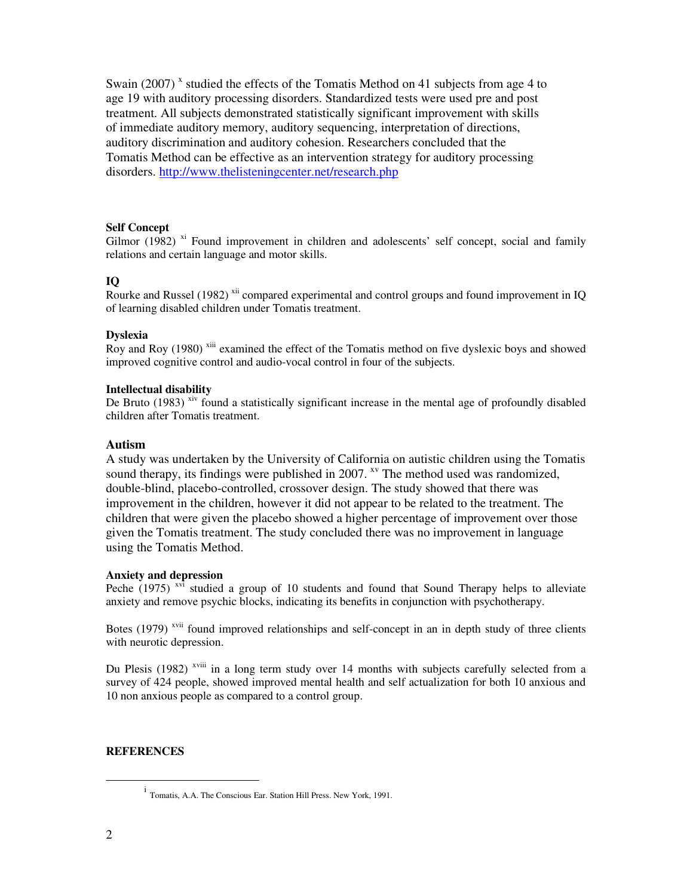Swain (2007)<sup>x</sup> studied the effects of the Tomatis Method on 41 subjects from age 4 to age 19 with auditory processing disorders. Standardized tests were used pre and post treatment. All subjects demonstrated statistically significant improvement with skills of immediate auditory memory, auditory sequencing, interpretation of directions, auditory discrimination and auditory cohesion. Researchers concluded that the Tomatis Method can be effective as an intervention strategy for auditory processing disorders. http://www.thelisteningcenter.net/research.php

## **Self Concept**

Gilmor  $(1982)$  <sup>xi</sup> Found improvement in children and adolescents' self concept, social and family relations and certain language and motor skills.

## **IQ**

Rourke and Russel (1982) <sup>xii</sup> compared experimental and control groups and found improvement in IQ of learning disabled children under Tomatis treatment.

#### **Dyslexia**

Roy and Roy (1980)<sup>xiii</sup> examined the effect of the Tomatis method on five dyslexic boys and showed improved cognitive control and audio-vocal control in four of the subjects.

### **Intellectual disability**

De Bruto  $(1983)$  xiv found a statistically significant increase in the mental age of profoundly disabled children after Tomatis treatment.

#### **Autism**

A study was undertaken by the University of California on autistic children using the Tomatis sound therapy, its findings were published in 2007.  $x<sup>v</sup>$  The method used was randomized, double-blind, placebo-controlled, crossover design. The study showed that there was improvement in the children, however it did not appear to be related to the treatment. The children that were given the placebo showed a higher percentage of improvement over those given the Tomatis treatment. The study concluded there was no improvement in language using the Tomatis Method.

### **Anxiety and depression**

Peche (1975)<sup>xvi</sup> studied a group of 10 students and found that Sound Therapy helps to alleviate anxiety and remove psychic blocks, indicating its benefits in conjunction with psychotherapy.

Botes  $(1979)$ <sup>xvii</sup> found improved relationships and self-concept in an in depth study of three clients with neurotic depression.

Du Plesis (1982) <sup>xviii</sup> in a long term study over 14 months with subjects carefully selected from a survey of 424 people, showed improved mental health and self actualization for both 10 anxious and 10 non anxious people as compared to a control group.

## **REFERENCES**

-

i Tomatis, A.A. The Conscious Ear. Station Hill Press. New York, 1991.